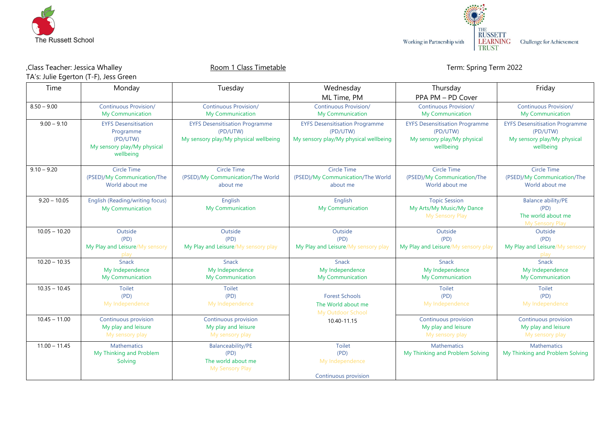



## Physica Whalley Room 1 Class Timetable Class Timetable Term: Spring Term 2022, TA's: Julie Egerton (T-F), Jess Green

| Time            | Monday                                                                                           | Tuesday                                                                                    | Wednesday<br>ML Time, PM                                                                   | Thursday<br>PPA PM - PD Cover                                                                 | Friday                                                                                        |
|-----------------|--------------------------------------------------------------------------------------------------|--------------------------------------------------------------------------------------------|--------------------------------------------------------------------------------------------|-----------------------------------------------------------------------------------------------|-----------------------------------------------------------------------------------------------|
| $8.50 - 9.00$   | <b>Continuous Provision/</b><br>My Communication                                                 | <b>Continuous Provision/</b><br>My Communication                                           | <b>Continuous Provision/</b><br>My Communication                                           | <b>Continuous Provision/</b><br>My Communication                                              | <b>Continuous Provision/</b><br>My Communication                                              |
| $9.00 - 9.10$   | <b>EYFS Desensitisation</b><br>Programme<br>(PD/UTW)<br>My sensory play/My physical<br>wellbeing | <b>EYFS Desensitisation Programme</b><br>(PD/UTW)<br>My sensory play/My physical wellbeing | <b>EYFS Desensitisation Programme</b><br>(PD/UTW)<br>My sensory play/My physical wellbeing | <b>EYFS Desensitisation Programme</b><br>(PD/UTW)<br>My sensory play/My physical<br>wellbeing | <b>EYFS Desensitisation Programme</b><br>(PD/UTW)<br>My sensory play/My physical<br>wellbeing |
| $9.10 - 9.20$   | <b>Circle Time</b><br>(PSED)/My Communication/The<br>World about me                              | <b>Circle Time</b><br>(PSED)/My Communication/The World<br>about me                        | <b>Circle Time</b><br>(PSED)/My Communication/The World<br>about me                        | <b>Circle Time</b><br>(PSED)/My Communication/The<br>World about me                           | <b>Circle Time</b><br>(PSED)/My Communication/The<br>World about me                           |
| $9.20 - 10.05$  | English (Reading/writing focus)<br><b>My Communication</b>                                       | English<br><b>My Communication</b>                                                         | English<br><b>My Communication</b>                                                         | <b>Topic Session</b><br>My Arts/My Music/My Dance<br>My Sensory Play                          | <b>Balance ability/PE</b><br>(PD)<br>The world about me<br>My Sensory Play                    |
| $10.05 - 10.20$ | Outside<br>(PD)<br>My Play and Leisure/My sensory                                                | Outside<br>(PD)<br>My Play and Leisure/My sensory play                                     | Outside<br>(PD)<br>My Play and Leisure/My sensory play                                     | Outside<br>(PD)<br>My Play and Leisure/My sensory play                                        | Outside<br>(PD)<br>My Play and Leisure/My sensory<br>plav                                     |
| $10.20 - 10.35$ | Snack<br>My Independence<br>My Communication                                                     | Snack<br>My Independence<br><b>My Communication</b>                                        | Snack<br>My Independence<br>My Communication                                               | <b>Snack</b><br>My Independence<br><b>My Communication</b>                                    | Snack<br>My Independence<br><b>My Communication</b>                                           |
| $10.35 - 10.45$ | <b>Toilet</b><br>(PD)<br>My Independence                                                         | Toilet<br>(PD)<br>My Independence                                                          | <b>Forest Schools</b><br>The World about me<br>My Outdoor School                           | <b>Toilet</b><br>(PD)<br>My Independence                                                      | Toilet<br>(PD)<br>My Independence                                                             |
| $10.45 - 11.00$ | Continuous provision<br>My play and leisure<br>My sensory play                                   | Continuous provision<br>My play and leisure<br>My sensory play                             | 10.40-11.15                                                                                | Continuous provision<br>My play and leisure<br>My sensory play                                | Continuous provision<br>My play and leisure<br>My sensory play                                |
| $11.00 - 11.45$ | <b>Mathematics</b><br>My Thinking and Problem<br>Solving                                         | <b>Balanceability/PE</b><br>(PD)<br>The world about me<br>My Sensory Play                  | <b>Toilet</b><br>(PD)<br>My Independence<br>Continuous provision                           | <b>Mathematics</b><br>My Thinking and Problem Solving                                         | <b>Mathematics</b><br>My Thinking and Problem Solving                                         |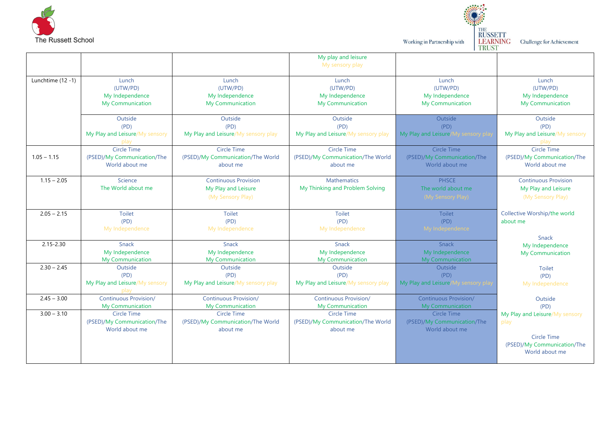

Working in Partnership with

THE<br>
RUSSETT<br>
LEARNING Challenge for Achievement<br>
TRUST

|                   |                                                                     |                                                                         | My play and leisure<br>My sensory play                              |                                                              |                                                                         |
|-------------------|---------------------------------------------------------------------|-------------------------------------------------------------------------|---------------------------------------------------------------------|--------------------------------------------------------------|-------------------------------------------------------------------------|
| Lunchtime (12 -1) | Lunch<br>(UTW/PD)<br>My Independence<br>My Communication            | Lunch<br>(UTW/PD)<br>My Independence<br>My Communication                | Lunch<br>(UTW/PD)<br>My Independence<br>My Communication            | Lunch<br>(UTW/PD)<br>My Independence<br>My Communication     | Lunch<br>(UTW/PD)<br>My Independence<br>My Communication                |
|                   | Outside<br>(PD)<br>My Play and Leisure/My sensory                   | Outside<br>(PD)<br>My Play and Leisure/My sensory play                  | Outside<br>(PD)<br>My Play and Leisure/My sensory play              | Outside<br>(PD)<br>My Play and Leisure/My sensory pla        | Outside<br>(PD)<br>My Play and Leisure/My sensory                       |
| $1.05 - 1.15$     | <b>Circle Time</b><br>(PSED)/My Communication/The<br>World about me | <b>Circle Time</b><br>(PSED)/My Communication/The World<br>about me     | <b>Circle Time</b><br>(PSED)/My Communication/The World<br>about me | Circle Time<br>(PSED)/My Communication/The<br>World about me | <b>Circle Time</b><br>(PSED)/My Communication/The<br>World about me     |
| $1.15 - 2.05$     | Science<br>The World about me                                       | <b>Continuous Provision</b><br>My Play and Leisure<br>(My Sensory Play) | <b>Mathematics</b><br>My Thinking and Problem Solving               | <b>PHSCE</b><br>The world about me<br>(My Sensory Play)      | <b>Continuous Provision</b><br>My Play and Leisure<br>(My Sensory Play) |
| $2.05 - 2.15$     | Toilet<br>(PD)<br>My Independence                                   | <b>Toilet</b><br>(PD)<br>My Independence                                | Toilet<br>(PD)<br>My Independence                                   | <b>Toilet</b><br>(PD)<br>My Independence                     | Collective Worship/the world<br>about me<br>Snack                       |
| $2.15 - 2.30$     | Snack<br>My Independence<br><b>My Communication</b>                 | Snack<br>My Independence<br>My Communication                            | Snack<br>My Independence<br>My Communication                        | Snack<br>My Independence<br><b>My Communication</b>          | My Independence<br>My Communication                                     |
| $2.30 - 2.45$     | Outside<br>(PD)<br>My Play and Leisure/My sensory<br>play           | Outside<br>(PD)<br>My Play and Leisure/My sensory play                  | Outside<br>(PD)<br>My Play and Leisure/My sensory play              | Outside<br>(PD)<br>My Play and Leisure/My sensory pla        | Toilet<br>(PD)<br>My Independence                                       |
| $2.45 - 3.00$     | <b>Continuous Provision/</b><br><b>My Communication</b>             | <b>Continuous Provision/</b><br><b>My Communication</b>                 | <b>Continuous Provision/</b><br><b>My Communication</b>             | <b>Continuous Provision/</b><br>My Communication             | Outside<br>(PD)                                                         |
| $3.00 - 3.10$     | <b>Circle Time</b><br>(PSED)/My Communication/The<br>World about me | Circle Time<br>(PSED)/My Communication/The World<br>about me            | Circle Time<br>(PSED)/My Communication/The World<br>about me        | Circle Time<br>(PSED)/My Communication/The<br>World about me | My Play and Leisure/My sensory<br>play                                  |
|                   |                                                                     |                                                                         |                                                                     |                                                              | <b>Circle Time</b><br>(PSED)/My Communication/The<br>World about me     |